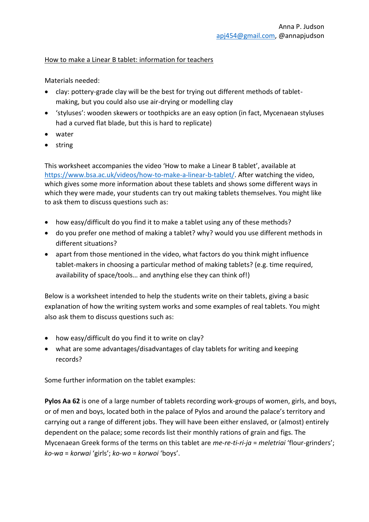## How to make a Linear B tablet: information for teachers

Materials needed:

- clay: pottery-grade clay will be the best for trying out different methods of tabletmaking, but you could also use air-drying or modelling clay
- 'styluses': wooden skewers or toothpicks are an easy option (in fact, Mycenaean styluses had a curved flat blade, but this is hard to replicate)
- water
- string

This worksheet accompanies the video 'How to make a Linear B tablet', available at [https://www.bsa.ac.uk/videos/how-to-make-a-linear-b-tablet/.](https://www.bsa.ac.uk/videos/how-to-make-a-linear-b-tablet/) After watching the video, which gives some more information about these tablets and shows some different ways in which they were made, your students can try out making tablets themselves. You might like to ask them to discuss questions such as:

- how easy/difficult do you find it to make a tablet using any of these methods?
- do you prefer one method of making a tablet? why? would you use different methods in different situations?
- apart from those mentioned in the video, what factors do you think might influence tablet-makers in choosing a particular method of making tablets? (e.g. time required, availability of space/tools… and anything else they can think of!)

Below is a worksheet intended to help the students write on their tablets, giving a basic explanation of how the writing system works and some examples of real tablets. You might also ask them to discuss questions such as:

- how easy/difficult do you find it to write on clay?
- what are some advantages/disadvantages of clay tablets for writing and keeping records?

Some further information on the tablet examples:

**Pylos Aa 62** is one of a large number of tablets recording work-groups of women, girls, and boys, or of men and boys, located both in the palace of Pylos and around the palace's territory and carrying out a range of different jobs. They will have been either enslaved, or (almost) entirely dependent on the palace; some records list their monthly rations of grain and figs. The Mycenaean Greek forms of the terms on this tablet are *me-re-ti-ri-ja* = *meletriai* 'flour-grinders'; *ko-wa* = *korwai* 'girls'; *ko-wo* = *korwoi* 'boys'.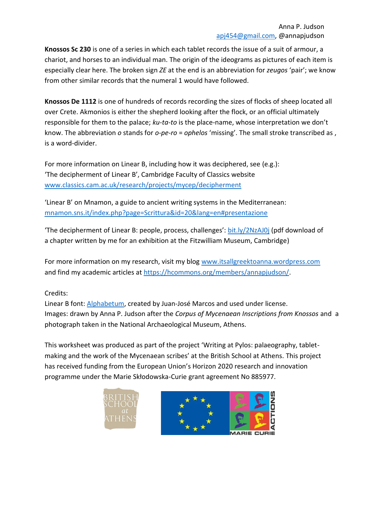**Knossos Sc 230** is one of a series in which each tablet records the issue of a suit of armour, a chariot, and horses to an individual man. The origin of the ideograms as pictures of each item is especially clear here. The broken sign *ZE* at the end is an abbreviation for *zeugos* 'pair'; we know from other similar records that the numeral 1 would have followed.

**Knossos De 1112** is one of hundreds of records recording the sizes of flocks of sheep located all over Crete. Akmonios is either the shepherd looking after the flock, or an official ultimately responsible for them to the palace; *ku-ta-to* is the place-name, whose interpretation we don't know. The abbreviation *o* stands for *o-pe-ro* = *ophelos* 'missing'. The small stroke transcribed as , is a word-divider.

For more information on Linear B, including how it was deciphered, see (e.g.): 'The decipherment of Linear B', Cambridge Faculty of Classics website www.classics.cam.ac.uk/research/projects/mycep/decipherment

'Linear B' on Mnamon, a guide to ancient writing systems in the Mediterranean: mnamon.sns.it/index.php?page=Scrittura&id=20&lang=en#presentazione

'The decipherment of Linear B: people, process, challenges': bit.ly/2NzAJ0j (pdf download of a chapter written by me for an exhibition at the Fitzwilliam Museum, Cambridge)

For more information on my research, visit my blog www.itsallgreektoanna.wordpress.com and find my academic articles at https://hcommons.org/members/annapjudson/.

# Credits:

Linear B font: Alphabetum, created by Juan-José Marcos and used under license. Images: drawn by Anna P. Judson after the *Corpus of Mycenaean Inscriptions from Knossos* and a photograph taken in the National Archaeological Museum, Athens.

This worksheet was produced as part of the project 'Writing at Pylos: palaeography, tabletmaking and the work of the Mycenaean scribes' at the British School at Athens. This project has received funding from the European Union's Horizon 2020 research and innovation programme under the Marie Skłodowska-Curie grant agreement No 885977.



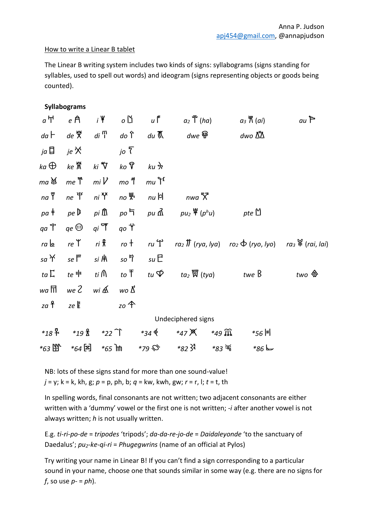#### How to write a Linear B tablet

The Linear B writing system includes two kinds of signs: syllabograms (signs standing for syllables, used to spell out words) and ideogram (signs representing objects or goods being counted).

### **Syllabograms**

| $a \nightharpoonup$                                         | e A                                       | $i \nparallel$        | οĎ                           | $u$ f           | $a_2$ (ha)                                                                                 | $a_3 \overset{\mathbf{w}}{\wedge} (ai)$                                                             | $au$ $\geq$           |
|-------------------------------------------------------------|-------------------------------------------|-----------------------|------------------------------|-----------------|--------------------------------------------------------------------------------------------|-----------------------------------------------------------------------------------------------------|-----------------------|
| $da \vdash$                                                 |                                           |                       |                              |                 | de 癸 di 『 do î du 〖   dwe {{}}                                                             | dwo ∆*∆                                                                                             |                       |
| ja $\Box$                                                   | je X                                      |                       | $j$ o $\overline{\zeta}$     |                 |                                                                                            |                                                                                                     |                       |
| ka $\bigoplus$                                              | $ke$ $\stackrel{\text{w}}{\mathbb{R}}$    | ki $\mathbf{\hat{V}}$ | ko $\mathcal{P}$             | ku शे           |                                                                                            |                                                                                                     |                       |
| ma ¥                                                        | me $\mathfrak{k}$ mil <sup>l</sup>        |                       | mo ใ                         | $mu \uparrow f$ |                                                                                            |                                                                                                     |                       |
| na T                                                        | ne I <sup>s</sup> ni Y                    |                       | $nO\frac{W_s}{A}$            | $nu \,$ 러       | nwa X                                                                                      |                                                                                                     |                       |
|                                                             |                                           |                       |                              |                 | $pa \neq pe \triangleright$ $pi \ \hat{m}$ $po \vdash$ $pu \ \hat{m}$ $pu_2 \ \Psi(p^h u)$ | pte $\mathbb{M}$                                                                                    |                       |
| ga 'f'                                                      | $qe \, \bigoplus$                         | $q_i$ T               | qo Ť                         |                 |                                                                                            |                                                                                                     |                       |
| $ra \trianglerighteq \begin{array}{cc} ra & re \end{array}$ |                                           |                       | ri <del>k</del> ro t         | $ru$ $\Upsilon$ |                                                                                            | $ra_2$ $\overline{n}$ (rya, lya) $ro_2$ $\overline{\Phi}$ (ryo, lyo) $ra_3$ $\mathbb{F}$ (rai, lai) |                       |
| sa Y                                                        | $\mathcal{S}e \, \mathsf{I}^{\mathsf{m}}$ |                       | <i>si</i> 用  so ๆ            | suE             |                                                                                            |                                                                                                     |                       |
| $ta\ \overline{L}$ $te =$                                   |                                           |                       | $t$ i $\bigcap$ to $\bar{T}$ | tu $\varphi$    |                                                                                            | twe B                                                                                               | two $\Leftrightarrow$ |
| wa FTI                                                      | we 2 wi A                                 |                       | wo Δ'                        |                 |                                                                                            |                                                                                                     |                       |
| za f                                                        | ze E                                      |                       | $20$ $\uparrow$              |                 |                                                                                            |                                                                                                     |                       |
|                                                             |                                           |                       |                              |                 | Undeciphered signs                                                                         |                                                                                                     |                       |
|                                                             | $*189.4$ $*198.$                          | *22 个                 |                              | $*_{34} \phi$   | $*_{47}$ $\times$<br>*49 M                                                                 | $*$ 56 F                                                                                            |                       |
|                                                             | *64 国                                     |                       | $*65$ $\overline{m}$         | *79 \$          | $*_{82}$ } <sup>2</sup>                                                                    | $*86 \,\mathrm{k}$                                                                                  |                       |

NB: lots of these signs stand for more than one sound-value! *j* = y; k = k, kh, g; *p* = p, ph, b; *q* = kw, kwh, gw; *r* = r, l; *t* = t, th

In spelling words, final consonants are not written; two adjacent consonants are either written with a 'dummy' vowel or the first one is not written; *-i* after another vowel is not always written; *h* is not usually written.

E.g. *ti-ri-po-de* = *tripodes* 'tripods'; *da-da-re-jo-de* = *Daidaleyonde* 'to the sanctuary of Daedalus'; *pu2-ke-qi-ri* = *Phugegwrins* (name of an official at Pylos)

Try writing your name in Linear B! If you can't find a sign corresponding to a particular sound in your name, choose one that sounds similar in some way (e.g. there are no signs for *f*, so use *p-* = *ph*).